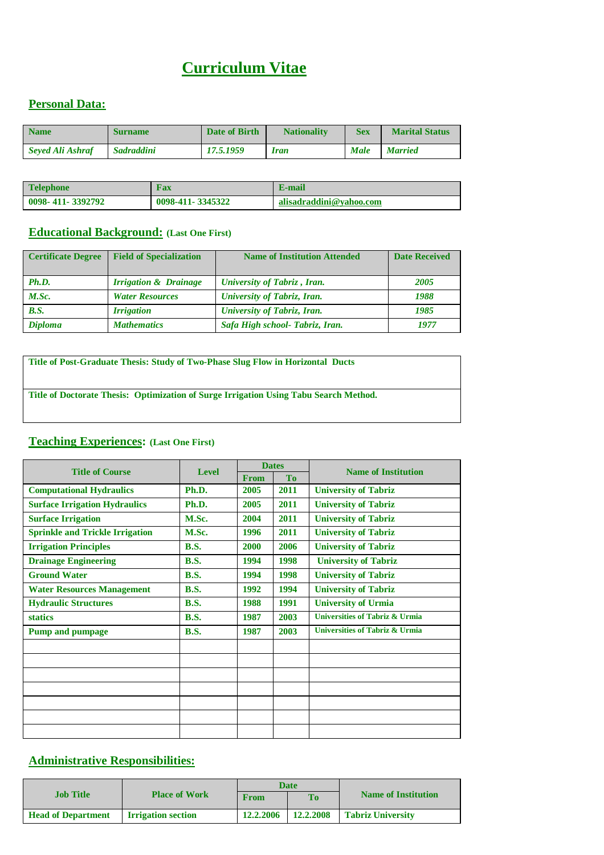# **Curriculum Vitae**

### **Personal Data:**

| <b>Name</b>      | <b>Surname</b>    | Date of Birth | <b>Nationality</b> | Sex         | <b>Marital Status</b> |
|------------------|-------------------|---------------|--------------------|-------------|-----------------------|
| Seved Ali Ashraf | <b>Sadraddini</b> | 17.5.1959     | Iran               | <b>Male</b> | <b>Married</b>        |

| <b>Telephone</b> | Fax              | E-mail                  |
|------------------|------------------|-------------------------|
| 0098-411-3392792 | 0098-411-3345322 | alisadraddini@vahoo.com |

#### **Educational Background: (Last One First)**

| <b>Certificate Degree</b> | <b>Field of Specialization</b>   | <b>Name of Institution Attended</b> | <b>Date Received</b> |
|---------------------------|----------------------------------|-------------------------------------|----------------------|
| Ph.D.                     | <b>Irrigation &amp; Drainage</b> | <b>University of Tabriz, Iran.</b>  | 2005                 |
| M.Sc.                     | <b>Water Resources</b>           | <b>University of Tabriz, Iran.</b>  | 1988                 |
| <b>B.S.</b>               | <i><b>Irrigation</b></i>         | <b>University of Tabriz, Iran.</b>  | 1985                 |
| <b>Diploma</b>            | <b>Mathematics</b>               | Safa High school- Tabriz, Iran.     | 1977                 |

**Title of Post-Graduate Thesis: Study of Two-Phase Slug Flow in Horizontal Ducts**

**Title of Doctorate Thesis: Optimization of Surge Irrigation Using Tabu Search Method.** 

### **Teaching Experiences: (Last One First)**

|                                        |              | <b>Dates</b> |           |                                           |  |
|----------------------------------------|--------------|--------------|-----------|-------------------------------------------|--|
| <b>Title of Course</b>                 | <b>Level</b> | From         | <b>To</b> | <b>Name of Institution</b>                |  |
| <b>Computational Hydraulics</b>        | Ph.D.        | 2005         | 2011      | <b>University of Tabriz</b>               |  |
| <b>Surface Irrigation Hydraulics</b>   | Ph.D.        | 2005         | 2011      | <b>University of Tabriz</b>               |  |
| <b>Surface Irrigation</b>              | M.Sc.        | 2004         | 2011      | <b>University of Tabriz</b>               |  |
| <b>Sprinkle and Trickle Irrigation</b> | M.Sc.        | 1996         | 2011      | <b>University of Tabriz</b>               |  |
| <b>Irrigation Principles</b>           | <b>B.S.</b>  | 2000         | 2006      | <b>University of Tabriz</b>               |  |
| <b>Drainage Engineering</b>            | <b>B.S.</b>  | 1994         | 1998      | <b>University of Tabriz</b>               |  |
| <b>Ground Water</b>                    | <b>B.S.</b>  | 1994         | 1998      | <b>University of Tabriz</b>               |  |
| <b>Water Resources Management</b>      | <b>B.S.</b>  | 1992         | 1994      | <b>University of Tabriz</b>               |  |
| <b>Hydraulic Structures</b>            | <b>B.S.</b>  | 1988         | 1991      | <b>University of Urmia</b>                |  |
| <b>statics</b>                         | <b>B.S.</b>  | 1987         | 2003      | <b>Universities of Tabriz &amp; Urmia</b> |  |
| <b>Pump and pumpage</b>                | <b>B.S.</b>  | 1987         | 2003      | <b>Universities of Tabriz &amp; Urmia</b> |  |
|                                        |              |              |           |                                           |  |
|                                        |              |              |           |                                           |  |
|                                        |              |              |           |                                           |  |
|                                        |              |              |           |                                           |  |
|                                        |              |              |           |                                           |  |
|                                        |              |              |           |                                           |  |
|                                        |              |              |           |                                           |  |

### **Administrative Responsibilities:**

|                           |                           |           | <b>Date</b>    |                            |  |
|---------------------------|---------------------------|-----------|----------------|----------------------------|--|
| <b>Job Title</b>          | <b>Place of Work</b>      | From      | T <sub>o</sub> | <b>Name of Institution</b> |  |
| <b>Head of Department</b> | <b>Irrigation section</b> | 12.2.2006 | 12.2.2008      | <b>Tabriz University</b>   |  |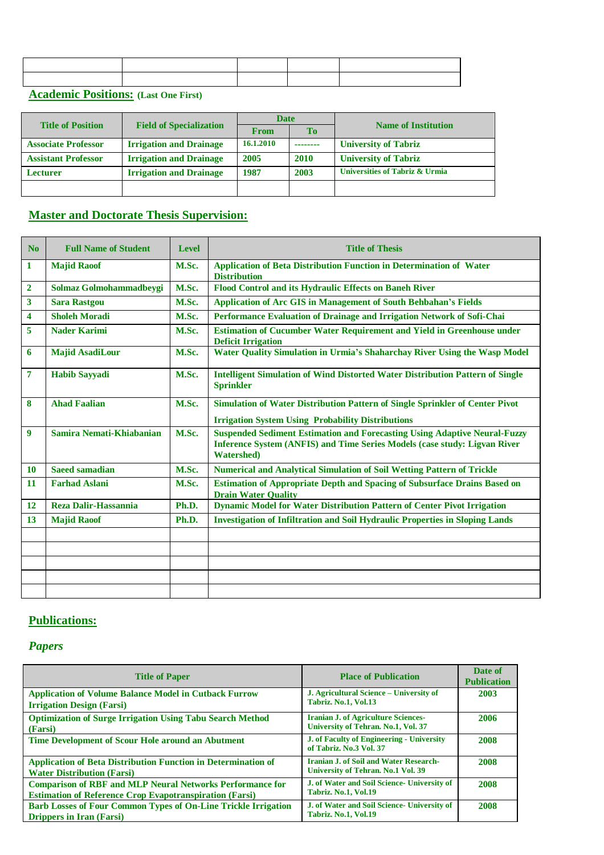**Academic Positions: (Last One First)** 

|                            |                                | <b>Date</b> |             |                                |
|----------------------------|--------------------------------|-------------|-------------|--------------------------------|
| <b>Title of Position</b>   | <b>Field of Specialization</b> | <b>From</b> | To          | <b>Name of Institution</b>     |
| <b>Associate Professor</b> | <b>Irrigation and Drainage</b> | 16.1.2010   |             | <b>University of Tabriz</b>    |
| <b>Assistant Professor</b> | <b>Irrigation and Drainage</b> | 2005        | <b>2010</b> | <b>University of Tabriz</b>    |
| <b>Lecturer</b>            | <b>Irrigation and Drainage</b> | 1987        | 2003        | Universities of Tabriz & Urmia |
|                            |                                |             |             |                                |

### **Master and Doctorate Thesis Supervision:**

| N <sub>0</sub> | <b>Full Name of Student</b> | <b>Level</b> | <b>Title of Thesis</b>                                                                                                                                                                     |
|----------------|-----------------------------|--------------|--------------------------------------------------------------------------------------------------------------------------------------------------------------------------------------------|
| 1              | <b>Majid Raoof</b>          | M.Sc.        | <b>Application of Beta Distribution Function in Determination of Water</b><br><b>Distribution</b>                                                                                          |
| $\overline{2}$ | Solmaz Golmohammadbeygi     | M.Sc.        | Flood Control and its Hydraulic Effects on Baneh River                                                                                                                                     |
| 3              | <b>Sara Rastgou</b>         | M.Sc.        | <b>Application of Arc GIS in Management of South Behbahan's Fields</b>                                                                                                                     |
| 4              | <b>Sholeh Moradi</b>        | M.Sc.        | Performance Evaluation of Drainage and Irrigation Network of Sofi-Chai                                                                                                                     |
| 5              | <b>Nader Karimi</b>         | M.Sc.        | <b>Estimation of Cucumber Water Requirement and Yield in Greenhouse under</b><br><b>Deficit Irrigation</b>                                                                                 |
| 6              | <b>Majid AsadiLour</b>      | M.Sc.        | Water Quality Simulation in Urmia's Shaharchay River Using the Wasp Model                                                                                                                  |
| 7              | <b>Habib Sayyadi</b>        | M.Sc.        | <b>Intelligent Simulation of Wind Distorted Water Distribution Pattern of Single</b><br><b>Sprinkler</b>                                                                                   |
| 8              | <b>Ahad Faalian</b>         | M.Sc.        | Simulation of Water Distribution Pattern of Single Sprinkler of Center Pivot<br><b>Irrigation System Using Probability Distributions</b>                                                   |
| 9              | Samira Nemati-Khiabanian    | M.Sc.        | <b>Suspended Sediment Estimation and Forecasting Using Adaptive Neural-Fuzzy</b><br><b>Inference System (ANFIS) and Time Series Models (case study: Ligvan River</b><br><b>Watershed</b> ) |
| 10             | <b>Saeed samadian</b>       | M.Sc.        | <b>Numerical and Analytical Simulation of Soil Wetting Pattern of Trickle</b>                                                                                                              |
| 11             | <b>Farhad Aslani</b>        | M.Sc.        | <b>Estimation of Appropriate Depth and Spacing of Subsurface Drains Based on</b><br><b>Drain Water Quality</b>                                                                             |
| 12             | <b>Reza Dalir-Hassannia</b> | Ph.D.        | Dynamic Model for Water Distribution Pattern of Center Pivot Irrigation                                                                                                                    |
| 13             | <b>Majid Raoof</b>          | Ph.D.        | <b>Investigation of Infiltration and Soil Hydraulic Properties in Sloping Lands</b>                                                                                                        |
|                |                             |              |                                                                                                                                                                                            |
|                |                             |              |                                                                                                                                                                                            |
|                |                             |              |                                                                                                                                                                                            |
|                |                             |              |                                                                                                                                                                                            |
|                |                             |              |                                                                                                                                                                                            |

## **Publications:**

## *Papers*

| <b>Title of Paper</b>                                                                                                              | <b>Place of Publication</b>                                                         | Date of<br><b>Publication</b> |
|------------------------------------------------------------------------------------------------------------------------------------|-------------------------------------------------------------------------------------|-------------------------------|
| <b>Application of Volume Balance Model in Cutback Furrow</b><br><b>Irrigation Design (Farsi)</b>                                   | J. Agricultural Science – University of<br>Tabriz. No.1, Vol.13                     | 2003                          |
| <b>Optimization of Surge Irrigation Using Tabu Search Method</b><br>(Farsi)                                                        | <b>Iranian J. of Agriculture Sciences-</b><br>University of Tehran, No.1, Vol. 37   | 2006                          |
| Time Development of Scour Hole around an Abutment                                                                                  | <b>J. of Faculty of Engineering - University</b><br>of Tabriz, No.3 Vol. 37         | 2008                          |
| <b>Application of Beta Distribution Function in Determination of</b><br><b>Water Distribution (Farsi)</b>                          | <b>Iranian J. of Soil and Water Research-</b><br>University of Tehran. No.1 Vol. 39 | 2008                          |
| <b>Comparison of RBF and MLP Neural Networks Performance for</b><br><b>Estimation of Reference Crop Evapotranspiration (Farsi)</b> | J. of Water and Soil Science- University of<br>Tabriz. No.1, Vol.19                 | 2008                          |
| <b>Barb Losses of Four Common Types of On-Line Trickle Irrigation</b><br><b>Drippers in Iran (Farsi)</b>                           | J. of Water and Soil Science- University of<br>Tabriz. No.1, Vol.19                 | 2008                          |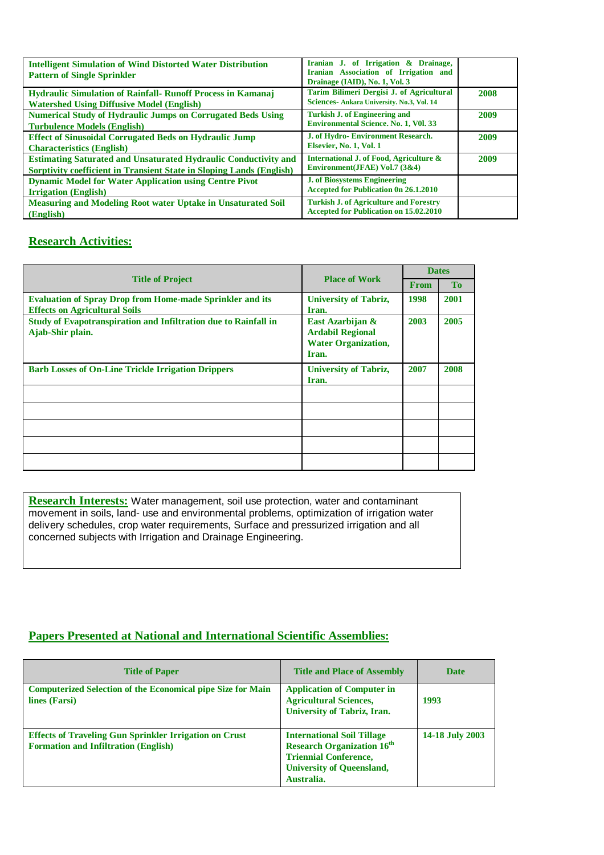| <b>Intelligent Simulation of Wind Distorted Water Distribution</b><br><b>Pattern of Single Sprinkler</b>                                              | Iranian J. of Irrigation & Drainage,<br>Iranian Association of Irrigation and<br>Drainage (IAID), No. 1, Vol. 3 |      |
|-------------------------------------------------------------------------------------------------------------------------------------------------------|-----------------------------------------------------------------------------------------------------------------|------|
| <b>Hydraulic Simulation of Rainfall- Runoff Process in Kamanaj</b><br><b>Watershed Using Diffusive Model (English)</b>                                | Tarim Bilimeri Dergisi J. of Agricultural<br>Sciences- Ankara University. No.3, Vol. 14                         | 2008 |
| <b>Numerical Study of Hydraulic Jumps on Corrugated Beds Using</b><br><b>Turbulence Models (English)</b>                                              | <b>Turkish J. of Engineering and</b><br><b>Environmental Science. No. 1, V01. 33</b>                            | 2009 |
| <b>Effect of Sinusoidal Corrugated Beds on Hydraulic Jump</b><br><b>Characteristics</b> (English)                                                     | J. of Hydro-Environment Research.<br>Elsevier, No. 1, Vol. 1                                                    | 2009 |
| <b>Estimating Saturated and Unsaturated Hydraulic Conductivity and</b><br><b>Sorptivity coefficient in Transient State in Sloping Lands (English)</b> | International J. of Food, Agriculture &<br>Environment(JFAE) Vol.7 (3&4)                                        | 2009 |
| <b>Dynamic Model for Water Application using Centre Pivot</b><br><b>Irrigation</b> (English)                                                          | <b>J. of Biosystems Engineering</b><br><b>Accepted for Publication 0n 26.1.2010</b>                             |      |
| <b>Measuring and Modeling Root water Uptake in Unsaturated Soil</b><br>(English)                                                                      | <b>Turkish J. of Agriculture and Forestry</b><br><b>Accepted for Publication on 15.02.2010</b>                  |      |

### **Research Activities:**

|                                                                                                          |                                                                                    |             | <b>Dates</b> |  |
|----------------------------------------------------------------------------------------------------------|------------------------------------------------------------------------------------|-------------|--------------|--|
| <b>Title of Project</b>                                                                                  | <b>Place of Work</b>                                                               | <b>From</b> | <b>To</b>    |  |
| <b>Evaluation of Spray Drop from Home-made Sprinkler and its</b><br><b>Effects on Agricultural Soils</b> | <b>University of Tabriz,</b><br>Iran.                                              | 1998        | 2001         |  |
| Study of Evapotranspiration and Infiltration due to Rainfall in<br>Ajab-Shir plain.                      | East Azarbijan &<br><b>Ardabil Regional</b><br><b>Water Organization,</b><br>Iran. | 2003        | 2005         |  |
| <b>Barb Losses of On-Line Trickle Irrigation Drippers</b>                                                | <b>University of Tabriz,</b><br>Iran.                                              | 2007        | 2008         |  |
|                                                                                                          |                                                                                    |             |              |  |
|                                                                                                          |                                                                                    |             |              |  |
|                                                                                                          |                                                                                    |             |              |  |
|                                                                                                          |                                                                                    |             |              |  |
|                                                                                                          |                                                                                    |             |              |  |

**Research Interests:** Water management, soil use protection, water and contaminant movement in soils, land- use and environmental problems, optimization of irrigation water delivery schedules, crop water requirements, Surface and pressurized irrigation and all concerned subjects with Irrigation and Drainage Engineering.

### **Papers Presented at National and International Scientific Assemblies:**

| <b>Title of Paper</b>                                                                                        | <b>Title and Place of Assembly</b>                                                                                                                       | <b>Date</b>     |
|--------------------------------------------------------------------------------------------------------------|----------------------------------------------------------------------------------------------------------------------------------------------------------|-----------------|
| <b>Computerized Selection of the Economical pipe Size for Main</b><br>lines (Farsi)                          | <b>Application of Computer in</b><br><b>Agricultural Sciences,</b><br><b>University of Tabriz, Iran.</b>                                                 | 1993            |
| <b>Effects of Traveling Gun Sprinkler Irrigation on Crust</b><br><b>Formation and Infiltration (English)</b> | <b>International Soil Tillage</b><br><b>Research Organization 16th</b><br><b>Triennial Conference,</b><br><b>University of Queensland,</b><br>Australia. | 14-18 July 2003 |